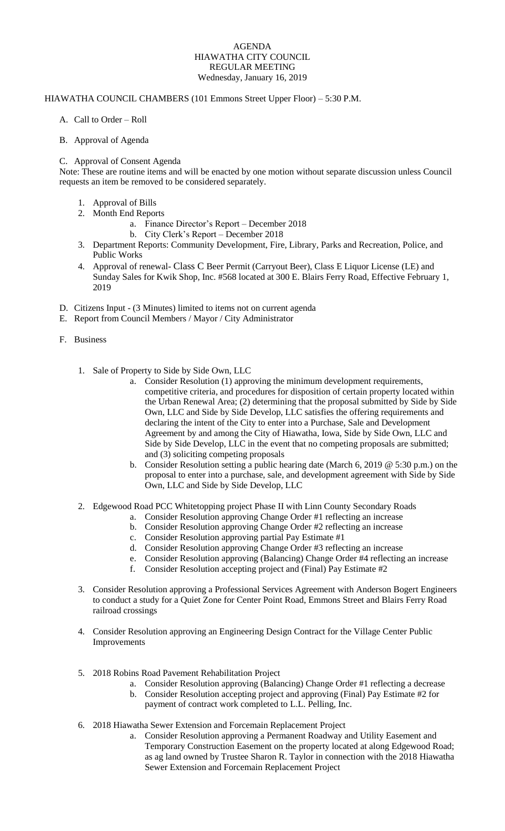## AGENDA HIAWATHA CITY COUNCIL REGULAR MEETING Wednesday, January 16, 2019

## HIAWATHA COUNCIL CHAMBERS (101 Emmons Street Upper Floor) – 5:30 P.M.

- A. Call to Order Roll
- B. Approval of Agenda

## C. Approval of Consent Agenda

Note: These are routine items and will be enacted by one motion without separate discussion unless Council requests an item be removed to be considered separately.

- 1. Approval of Bills
- 2. Month End Reports
	- a. Finance Director's Report December 2018
	- b. City Clerk's Report December 2018
- 3. Department Reports: Community Development, Fire, Library, Parks and Recreation, Police, and Public Works
- 4. Approval of renewal- Class C Beer Permit (Carryout Beer), Class E Liquor License (LE) and Sunday Sales for Kwik Shop, Inc. #568 located at 300 E. Blairs Ferry Road, Effective February 1, 2019
- D. Citizens Input (3 Minutes) limited to items not on current agenda
- E. Report from Council Members / Mayor / City Administrator
- F. Business
	- 1. Sale of Property to Side by Side Own, LLC
		- a. Consider Resolution (1) approving the minimum development requirements, competitive criteria, and procedures for disposition of certain property located within the Urban Renewal Area; (2) determining that the proposal submitted by Side by Side Own, LLC and Side by Side Develop, LLC satisfies the offering requirements and declaring the intent of the City to enter into a Purchase, Sale and Development Agreement by and among the City of Hiawatha, Iowa, Side by Side Own, LLC and Side by Side Develop, LLC in the event that no competing proposals are submitted; and (3) soliciting competing proposals
		- b. Consider Resolution setting a public hearing date (March 6, 2019 @ 5:30 p.m.) on the proposal to enter into a purchase, sale, and development agreement with Side by Side Own, LLC and Side by Side Develop, LLC
	- 2. Edgewood Road PCC Whitetopping project Phase II with Linn County Secondary Roads
		- a. Consider Resolution approving Change Order #1 reflecting an increase
		- b. Consider Resolution approving Change Order #2 reflecting an increase
		- c. Consider Resolution approving partial Pay Estimate #1
		- d. Consider Resolution approving Change Order #3 reflecting an increase
		- e. Consider Resolution approving (Balancing) Change Order #4 reflecting an increase
		- f. Consider Resolution accepting project and (Final) Pay Estimate #2
	- 3. Consider Resolution approving a Professional Services Agreement with Anderson Bogert Engineers to conduct a study for a Quiet Zone for Center Point Road, Emmons Street and Blairs Ferry Road railroad crossings
	- 4. Consider Resolution approving an Engineering Design Contract for the Village Center Public Improvements
	- 5. 2018 Robins Road Pavement Rehabilitation Project
		- a. Consider Resolution approving (Balancing) Change Order #1 reflecting a decrease b. Consider Resolution accepting project and approving (Final) Pay Estimate #2 for
		- payment of contract work completed to L.L. Pelling, Inc.
	- 6. 2018 Hiawatha Sewer Extension and Forcemain Replacement Project
		- a. Consider Resolution approving a Permanent Roadway and Utility Easement and Temporary Construction Easement on the property located at along Edgewood Road; as ag land owned by Trustee Sharon R. Taylor in connection with the 2018 Hiawatha Sewer Extension and Forcemain Replacement Project